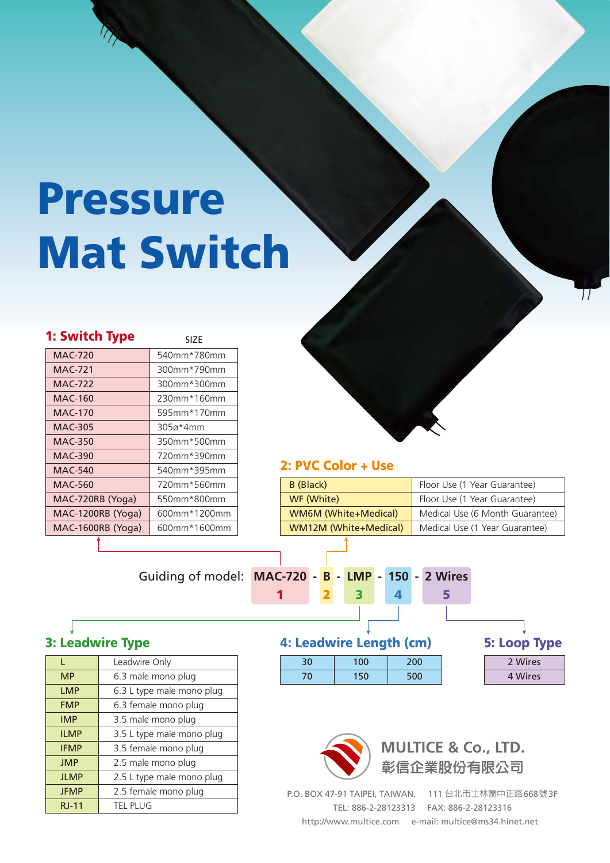# Pressure Mat Switch

| 1: Switch Type    | <b>SIZE</b>  |
|-------------------|--------------|
| <b>MAC-720</b>    | 540mm*780mm  |
| <b>MAC-721</b>    | 300mm*790mm  |
| MAC-722           | 300mm*300mm  |
| MAC-160           | 230mm*160mm  |
| MAC-170           | 595mm*170mm  |
| MAC-305           | 305ø*4mm     |
| <b>MAC-350</b>    | 350mm*500mm  |
| <b>MAC-390</b>    | 720mm*390mm  |
| MAC-540           | 540mm*395mm  |
| <b>MAC-560</b>    | 720mm*560mm  |
| MAC-720RB (Yoga)  | 550mm*800mm  |
| MAC-1200RB (Yoga) | 600mm*1200mm |
| MAC-1600RB (Yoga) | 600mm*1600mm |



#### 2: PVC Color + Use

| B (Black)             | Floor Use (1 Year Guarantee)    |
|-----------------------|---------------------------------|
| WF (White)            | Floor Use (1 Year Guarantee)    |
| WM6M (White+Medical)  | Medical Use (6 Month Guarantee) |
| WM12M (White+Medical) | Medical Use (1 Year Guarantee)  |

#### Guiding of model: **MAC-720 - B - LMP - 150 - 2 Wires**

#### 1 2 3 4 5

### 3: Leadwire Type

|              | Leadwire Only             |
|--------------|---------------------------|
| <b>MP</b>    | 6.3 male mono plug        |
| <b>LMP</b>   | 6.3 L type male mono plug |
| <b>FMP</b>   | 6.3 female mono plug      |
| <b>IMP</b>   | 3.5 male mono plug        |
| <b>ILMP</b>  | 3.5 L type male mono plug |
| <b>IFMP</b>  | 3.5 female mono plug      |
| <b>JMP</b>   | 2.5 male mono plug        |
| <b>JLMP</b>  | 2.5 L type male mono plug |
| <b>JFMP</b>  | 2.5 female mono plug      |
| <b>RJ-11</b> | <b>TEL PLUG</b>           |

#### 4: Leadwire Length (cm)

| 30 | 100 | 200  |
|----|-----|------|
| 0  | 150 | -50e |

| <b>5: Loop Type</b> |
|---------------------|
| 2 Wires             |
| 4 Wires             |



P.O. BOX 47-91 TAIPEI, TAIWAN. 111 台北市士林區中正路668號3F TEL: 886-2-28123313 FAX: 886-2-28123316 http://www.multice.com e-mail: multice@ms34.hinet.net